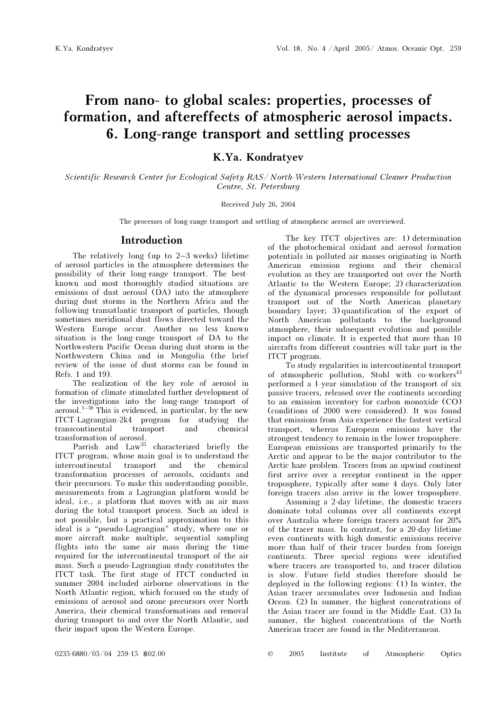# From nano- to global scales: properties, processes of formation, and aftereffects of atmospheric aerosol impacts. 6. Long-range transport and settling processes

K.Ya. Kondratyev

Scientific Research Center for Ecological Safety RAS/ North-Western International Cleaner Production Centre, St. Petersburg

Received July 26, 2004

The processes of long-range transport and settling of atmospheric aerosol are overviewed.

#### Introduction

The relatively long (up to 2–3 weeks) lifetime of aerosol particles in the atmosphere determines the possibility of their long-range transport. The bestknown and most thoroughly studied situations are emissions of dust aerosol (DA) into the atmosphere during dust storms in the Northern Africa and the following transatlantic transport of particles, though sometimes meridional dust flows directed toward the Western Europe occur. Another no less known situation is the long-range transport of DA to the Northwestern Pacific Ocean during dust storm in the Northwestern China and in Mongolia (the brief review of the issue of dust storms can be found in Refs. 1 and 19).

The realization of the key role of aerosol in formation of climate stimulated further development of the investigations into the long-range transport of aerosol.<sup>1–50</sup> This is evidenced, in particular, by the new ITCT-Lagrangian-2k4 program for studying the transcontinental transport and chemical transformation of aerosol.

Parrish and Law<sup>35</sup> characterized briefly the ITCT program, whose main goal is to understand the intercontinental transport and the chemical transformation processes of aerosols, oxidants and their precursors. To make this understanding possible, measurements from a Lagrangian platform would be ideal, i.e., a platform that moves with an air mass during the total transport process. Such an ideal is not possible, but a practical approximation to this ideal is a "pseudo-Lagrangian" study, where one or more aircraft make multiple, sequential sampling flights into the same air mass during the time required for the intercontinental transport of the air mass. Such a pseudo-Lagrangian study constitutes the ITCT task. The first stage of ITCT conducted in summer 2004 included airborne observations in the North Atlantic region, which focused on the study of emissions of aerosol and ozone precursors over North America, their chemical transformations and removal during transport to and over the North Atlantic, and their impact upon the Western Europe.

The key ITCT objectives are: 1) determination of the photochemical oxidant and aerosol formation potentials in polluted air masses originating in North American emission regions and their chemical evolution as they are transported out over the North Atlantic to the Western Europe; 2) characterization of the dynamical processes responsible for pollutant transport out of the North American planetary boundary layer; 3) quantification of the export of North American pollutants to the background atmosphere, their subsequent evolution and possible impact on climate. It is expected that more than 10 aircrafts from different countries will take part in the ITCT program.

To study regularities in intercontinental transport of atmospheric pollution, Stohl with co-workers<sup>43</sup> performed a 1-year simulation of the transport of six passive tracers, released over the continents according to an emission inventory for carbon monoxide (CO) (conditions of 2000 were considered). It was found that emissions from Asia experience the fastest vertical transport, whereas European emissions have the strongest tendency to remain in the lower troposphere. European emissions are transported primarily to the Arctic and appear to be the major contributor to the Arctic haze problem. Tracers from an upwind continent first arrive over a receptor continent in the upper troposphere, typically after some 4 days. Only later foreign tracers also arrive in the lower troposphere.

 Assuming a 2-day lifetime, the domestic tracers dominate total columns over all continents except over Australia where foreign tracers account for 20% of the tracer mass. In contrast, for a 20-day lifetime even continents with high domestic emissions receive more than half of their tracer burden from foreign continents. Three special regions were identified where tracers are transported to, and tracer dilution is slow. Future field studies therefore should be deployed in the following regions: (1) In winter, the Asian tracer accumulates over Indonesia and Indian Ocean. (2) In summer, the highest concentrations of the Asian tracer are found in the Middle East. (3) In summer, the highest concentrations of the North American tracer are found in the Mediterranean.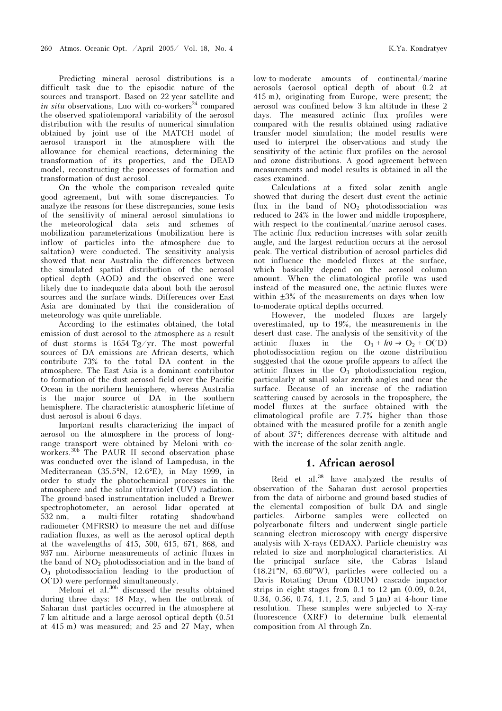Predicting mineral aerosol distributions is a difficult task due to the episodic nature of the sources and transport. Based on 22-year satellite and in situ observations, Luo with co-workers<sup>24</sup> compared the observed spatiotemporal variability of the aerosol distribution with the results of numerical simulation obtained by joint use of the MATCH model of aerosol transport in the atmosphere with the allowance for chemical reactions, determining the transformation of its properties, and the DEAD model, reconstructing the processes of formation and transformation of dust aerosol.

On the whole the comparison revealed quite good agreement, but with some discrepancies. To analyze the reasons for these discrepancies, some tests of the sensitivity of mineral aerosol simulations to the meteorological data sets and schemes of mobilization parameterizations (mobilization here is inflow of particles into the atmosphere due to saltation) were conducted. The sensitivity analysis showed that near Australia the differences between the simulated spatial distribution of the aerosol optical depth (AOD) and the observed one were likely due to inadequate data about both the aerosol sources and the surface winds. Differences over East Asia are dominated by that the consideration of meteorology was quite unreliable.

According to the estimates obtained, the total emission of dust aerosol to the atmosphere as a result of dust storms is 1654 Tg/yr. The most powerful sources of DA emissions are African deserts, which contribute 73% to the total DA content in the atmosphere. The East Asia is a dominant contributor to formation of the dust aerosol field over the Pacific Ocean in the northern hemisphere, whereas Australia is the major source of DA in the southern hemisphere. The characteristic atmospheric lifetime of dust aerosol is about 6 days.

Important results characterizing the impact of aerosol on the atmosphere in the process of longrange transport were obtained by Meloni with coworkers.<sup>30b</sup> The PAUR II second observation phase was conducted over the island of Lampedusa, in the Mediterranean (35.5°N, 12.6°E), in May 1999, in order to study the photochemical processes in the atmosphere and the solar ultraviolet (UV) radiation. The ground-based instrumentation included a Brewer spectrophotometer, an aerosol lidar operated at 532 nm, a multi-filter rotating shadowband radiometer (MFRSR) to measure the net and diffuse radiation fluxes, as well as the aerosol optical depth at the wavelengths of 415, 500, 615, 671, 868, and 937 nm. Airborne measurements of actinic fluxes in the band of  $NO<sub>2</sub>$  photodissociation and in the band of  $O_3$  photodissociation leading to the production of O(′D) were performed simultaneously.

Meloni et al.<sup>30b</sup> discussed the results obtained during three days: 18 May, when the outbreak of Saharan dust particles occurred in the atmosphere at 7 km altitude and a large aerosol optical depth (0.51 at 415 m) was measured; and 25 and 27 May, when low-to-moderate amounts of continental/marine aerosols (aerosol optical depth of about 0.2 at 415 m), originating from Europe, were present; the aerosol was confined below 3 km altitude in these 2 days. The measured actinic flux profiles were compared with the results obtained using radiative transfer model simulation; the model results were used to interpret the observations and study the sensitivity of the actinic flux profiles on the aerosol and ozone distributions. A good agreement between measurements and model results is obtained in all the cases examined.

Calculations at a fixed solar zenith angle showed that during the desert dust event the actinic flux in the band of  $NO<sub>2</sub>$  photodissociation was reduced to 24% in the lower and middle troposphere, with respect to the continental/marine aerosol cases. The actinic flux reduction increases with solar zenith angle, and the largest reduction occurs at the aerosol peak. The vertical distribution of aerosol particles did not influence the modeled fluxes at the surface, which basically depend on the aerosol column amount. When the climatological profile was used instead of the measured one, the actinic fluxes were within ±3% of the measurements on days when lowto-moderate optical depths occurred.

However, the modeled fluxes are largely overestimated, up to 19%, the measurements in the desert dust case. The analysis of the sensitivity of the actinic fluxes in the  $O_3 + hv \rightarrow O_2 + O(7D)$ photodissociation region on the ozone distribution suggested that the ozone profile appears to affect the actinic fluxes in the  $O_3$  photodissociation region, particularly at small solar zenith angles and near the surface. Because of an increase of the radiation scattering caused by aerosols in the troposphere, the model fluxes at the surface obtained with the climatological profile are 7.7% higher than those obtained with the measured profile for a zenith angle of about 37°; differences decrease with altitude and with the increase of the solar zenith angle.

#### 1. African aerosol

Reid et al.<sup>38</sup> have analyzed the results of observation of the Saharan dust aerosol properties from the data of airborne and ground-based studies of the elemental composition of bulk DA and single particles. Airborne samples were collected on polycarbonate filters and underwent single-particle scanning electron microscopy with energy dispersive analysis with X-rays (EDAX). Particle chemistry was related to size and morphological characteristics. At the principal surface site, the Cabras Island (18.21°N, 65.60°W), particles were collected on a Davis Rotating Drum (DRUM) cascade impactor strips in eight stages from  $0.1$  to  $12 \text{ µm}$   $(0.09, 0.24,$ 0.34, 0.56, 0.74, 1.1, 2.5, and 5 µm) at 4-hour time resolution. These samples were subjected to X-ray fluorescence (XRF) to determine bulk elemental composition from Al through Zn.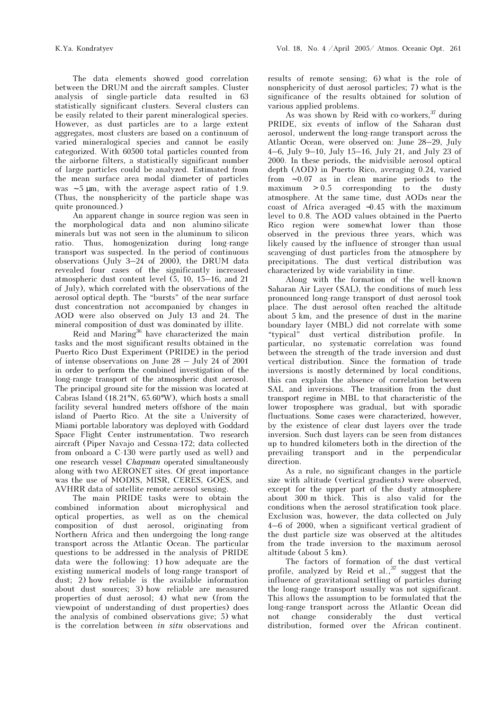The data elements showed good correlation between the DRUM and the aircraft samples. Cluster analysis of single-particle data resulted in 63 statistically significant clusters. Several clusters can be easily related to their parent mineralogical species. However, as dust particles are to a large extent aggregates, most clusters are based on a continuum of varied mineralogical species and cannot be easily categorized. With 60500 total particles counted from the airborne filters, a statistically significant number of large particles could be analyzed. Estimated from the mean surface area modal diameter of particles was  $~5 \mu m$ , with the average aspect ratio of 1.9. (Thus, the nonsphericity of the particle shape was quite pronounced.)

An apparent change in source region was seen in the morphological data and non alumino-silicate minerals but was not seen in the aluminum to silicon ratio. Thus, homogenization during long-range transport was suspected. In the period of continuous observations (July 3-24 of 2000), the DRUM data revealed four cases of the significantly increased atmospheric dust content level (5, 10, 15–16, and 21 of July), which correlated with the observations of the aerosol optical depth. The "bursts" of the near surface dust concentration not accompanied by changes in AOD were also observed on July 13 and 24. The mineral composition of dust was dominated by illite.

Reid and Maring<sup>36</sup> have characterized the main tasks and the most significant results obtained in the Puerto Rico Dust Experiment (PRIDE) in the period of intense observations on June 28 – July 24 of 2001 in order to perform the combined investigation of the long-range transport of the atmospheric dust aerosol. The principal ground site for the mission was located at Cabras Island (18.21°N, 65.60°W), which hosts a small facility several hundred meters offshore of the main island of Puerto Rico. At the site a University of Miami portable laboratory was deployed with Goddard Space Flight Center instrumentation. Two research aircraft (Piper Navajo and Cessna-172; data collected from onboard a C-130 were partly used as well) and one research vessel Chapman operated simultaneously along with two AERONET sites. Of great importance was the use of MODIS, MISR, CERES, GOES, and AVHRR data of satellite remote aerosol sensing.

The main PRIDE tasks were to obtain the combined information about microphysical and optical properties, as well as on the chemical composition of dust aerosol, originating from Northern Africa and then undergoing the long-range transport across the Atlantic Ocean. The particular questions to be addressed in the analysis of PRIDE data were the following: 1) how adequate are the existing numerical models of long-range transport of dust; 2) how reliable is the available information about dust sources; 3) how reliable are measured properties of dust aerosol; 4) what new (from the viewpoint of understanding of dust properties) does the analysis of combined observations give; 5) what is the correlation between in situ observations and

results of remote sensing; 6) what is the role of nonsphericity of dust aerosol particles; 7) what is the significance of the results obtained for solution of various applied problems.

As was shown by Reid with co-workers,  $37$  during PRIDE, six events of inflow of the Saharan dust aerosol, underwent the long-range transport across the Atlantic Ocean, were observed on: June 28–29, July 4–6, July 9–10, July 15–16, July 21, and July 23 of 2000. In these periods, the midvisible aerosol optical depth (AOD) in Puerto Rico, averaging 0.24, varied from ∼ 0.07 as in clean marine periods to the  $maximum$   $> 0.5$  corresponding to the dusty atmosphere. At the same time, dust AODs near the coast of Africa averaged ∼0.45 with the maximum level to 0.8. The AOD values obtained in the Puerto Rico region were somewhat lower than those observed in the previous three years, which was likely caused by the influence of stronger than usual scavenging of dust particles from the atmosphere by precipitations. The dust vertical distribution was characterized by wide variability in time.

Along with the formation of the well-known Saharan Air Layer (SAL), the conditions of much less pronounced long-range transport of dust aerosol took place. The dust aerosol often reached the altitude about 5 km, and the presence of dust in the marine boundary layer (MBL) did not correlate with some "typical" dust vertical distribution profile. In particular, no systematic correlation was found between the strength of the trade inversion and dust vertical distribution. Since the formation of trade inversions is mostly determined by local conditions, this can explain the absence of correlation between SAL and inversions. The transition from the dust transport regime in MBL to that characteristic of the lower troposphere was gradual, but with sporadic fluctuations. Some cases were characterized, however, by the existence of clear dust layers over the trade inversion. Such dust layers can be seen from distances up to hundred kilometers both in the direction of the prevailing transport and in the perpendicular direction.

As a rule, no significant changes in the particle size with altitude (vertical gradients) were observed, except for the upper part of the dusty atmosphere about 300 m thick. This is also valid for the conditions when the aerosol stratification took place. Exclusion was, however, the data collected on July 4–6 of 2000, when a significant vertical gradient of the dust particle size was observed at the altitudes from the trade inversion to the maximum aerosol altitude (about 5 km).

The factors of formation of the dust vertical profile, analyzed by Reid et  $aL$ ,  $a^{37}$  suggest that the influence of gravitational settling of particles during the long-range transport usually was not significant. This allows the assumption to be formulated that the long-range transport across the Atlantic Ocean did not change considerably the dust vertical distribution, formed over the African continent.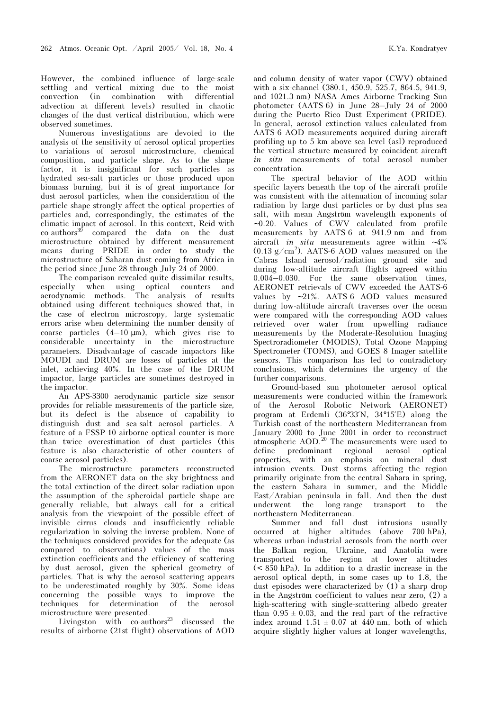However, the combined influence of large-scale settling and vertical mixing due to the moist convection (in combination with differential advection at different levels) resulted in chaotic changes of the dust vertical distribution, which were observed sometimes.

Numerous investigations are devoted to the analysis of the sensitivity of aerosol optical properties to variations of aerosol microstructure, chemical composition, and particle shape. As to the shape factor, it is insignificant for such particles as hydrated sea-salt particles or those produced upon biomass burning, but it is of great importance for dust aerosol particles, when the consideration of the particle shape strongly affect the optical properties of particles and, correspondingly, the estimates of the climatic impact of aerosol. In this context, Reid with  $\cos^{-3}\theta$  compared the data on the dust microstructure obtained by different measurement means during PRIDE in order to study the microstructure of Saharan dust coming from Africa in the period since June 28 through July 24 of 2000.

The comparison revealed quite dissimilar results, especially when using optical counters and aerodynamic methods. The analysis of results obtained using different techniques showed that, in the case of electron microscopy, large systematic errors arise when determining the number density of coarse particles (4–10 µm), which gives rise to considerable uncertainty in the microstructure parameters. Disadvantage of cascade impactors like MOUDI and DRUM are losses of particles at the inlet, achieving 40%. In the case of the DRUM impactor, large particles are sometimes destroyed in the impactor.

An APS-3300 aerodynamic particle size sensor provides for reliable measurements of the particle size, but its defect is the absence of capability to distinguish dust and sea-salt aerosol particles. A feature of a FSSP-10 airborne optical counter is more than twice overestimation of dust particles (this feature is also characteristic of other counters of coarse aerosol particles).

The microstructure parameters reconstructed from the AERONET data on the sky brightness and the total extinction of the direct solar radiation upon the assumption of the spheroidal particle shape are generally reliable, but always call for a critical analysis from the viewpoint of the possible effect of invisible cirrus clouds and insufficiently reliable regularization in solving the inverse problem. None of the techniques considered provides for the adequate (as compared to observations) values of the mass extinction coefficients and the efficiency of scattering by dust aerosol, given the spherical geometry of particles. That is why the aerosol scattering appears to be underestimated roughly by 30%. Some ideas concerning the possible ways to improve the techniques for determination of the aerosol microstructure were presented.

Livingston with  $co$ -authors<sup>23</sup> discussed the results of airborne (21st flight) observations of AOD and column density of water vapor (CWV) obtained with a six-channel (380.1, 450.9, 525.7, 864.5, 941.9, and 1021.3 nm) NASA Ames Airborne Tracking Sun photometer (AATS-6) in June 28–July 24 of 2000 during the Puerto Rico Dust Experiment (ÐRIDE). In general, aerosol extinction values calculated from AATS-6 AOD measurements acquired during aircraft profiling up to 5 km above sea level (asl) reproduced the vertical structure measured by coincident aircraft in situ measurements of total aerosol number concentration.

The spectral behavior of the AOD within specific layers beneath the top of the aircraft profile was consistent with the attenuation of incoming solar radiation by large dust particles or by dust plus sea salt, with mean Angström wavelength exponents of ∼ 0.20. Values of CWV calculated from profile measurements by AATS-6 at 941.9 nm and from aircraft in situ measurements agree within ∼ 4%  $(0.13 \text{ g/cm}^2)$ . AATS-6 AOD values measured on the Cabras Island aerosol/radiation ground site and during low-altitude aircraft flights agreed within 0.004–0.030. For the same observation times, AERONET retrievals of CWV exceeded the AATS-6 values by ∼ 21%. AATS-6 AOD values measured during low-altitude aircraft traverses over the ocean were compared with the corresponding AOD values retrieved over water from upwelling radiance measurements by the Moderate-Resolution Imaging Spectroradiometer (MODIS), Total Ozone Mapping Spectrometer (TOMS), and GOES 8 Imager satellite sensors. This comparison has led to contradictory conclusions, which determines the urgency of the further comparisons.

Ground-based sun photometer aerosol optical measurements were conducted within the framework of the Aerosol Robotic Network (AERONET) program at Erdemli (36°33′N, 34°15′E) along the Turkish coast of the northeastern Mediterranean from January 2000 to June 2001 in order to reconstruct atmospheric AOD.<sup>20</sup> The measurements were used to define predominant regional aerosol optical properties, with an emphasis on mineral dust intrusion events. Dust storms affecting the region primarily originate from the central Sahara in spring, the eastern Sahara in summer, and the Middle East/Arabian peninsula in fall. And then the dust underwent the long-range transport to the northeastern Mediterranean.

Summer and fall dust intrusions usually occurred at higher altitudes (above 700 hPa), whereas urban-industrial aerosols from the north over the Balkan region, Ukraine, and Anatolia were transported to the region at lower altitudes (< 850 hPa). In addition to a drastic increase in the aerosol optical depth, in some cases up to 1.8, the dust episodes were characterized by (1) a sharp drop in the Angström coefficient to values near zero, (2) a high-scattering with single-scattering albedo greater than  $0.95 \pm 0.03$ , and the real part of the refractive index around  $1.51 \pm 0.07$  at 440 nm, both of which acquire slightly higher values at longer wavelengths,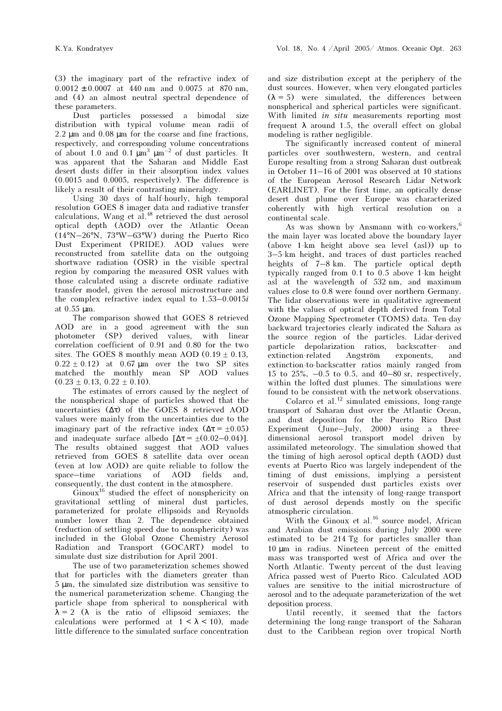(3) the imaginary part of the refractive index of  $0.0012 \pm 0.0007$  at 440 nm and 0.0075 at 870 nm, and (4) an almost neutral spectral dependence of these parameters.

Dust particles possessed a bimodal size distribution with typical volume mean radii of 2.2 µm and 0.08 µm for the coarse and fine fractions, respectively, and corresponding volume concentrations of about 1.0 and 0.1  $\mu$ m<sup>3</sup>  $\mu$ m<sup>-2</sup> of dust particles. It was apparent that the Saharan and Middle East desert dusts differ in their absorption index values (0.0015 and 0.0005, respectively). The difference is likely a result of their contrasting mineralogy.

Using 30 days of half-hourly, high temporal resolution GOES 8 imager data and radiative transfer calculations, Wang et al.<sup>48</sup> retrieved the dust aerosol optical depth (AOD) over the Atlantic Ocean (14°N–26°N, 73°W–63°W) during the Puerto Rico Dust Experiment (PRIDE). AOD values were reconstructed from satellite data on the outgoing shortwave radiation (OSR) in the visible spectral region by comparing the measured OSR values with those calculated using a discrete ordinate radiative transfer model, given the aerosol microstructure and the complex refractive index equal to 1.53–0.0015i at 0.55 µm.

The comparison showed that GOES 8 retrieved AOD are in a good agreement with the sun photometer (SP) derived values, with linear correlation coefficient of 0.91 and 0.80 for the two sites. The GOES 8 monthly mean AOD  $(0.19 \pm 0.13,$  $0.22 \pm 0.12$ ) at  $0.67 \mu m$  over the two SP sites matched the monthly mean SP AOD values  $(0.23 \pm 0.13, 0.22 \pm 0.10).$ 

The estimates of errors caused by the neglect of the nonspherical shape of particles showed that the uncertainties (∆τ) of the GOES 8 retrieved AOD values were mainly from the uncertainties due to the imaginary part of the refractive index  $(\Delta \tau = \pm 0.05)$ and inadequate surface albedo  $[\Delta \tau = \pm (0.02 - 0.04)]$ . The results obtained suggest that AOD values retrieved from GOES 8 satellite data over ocean (even at low AOD) are quite reliable to follow the space–time variations of AOD fields and, consequently, the dust content in the atmosphere.

 $\overrightarrow{G}$ inoux<sup>16</sup> studied the effect of nonsphericity on gravitational settling of mineral dust particles, parameterized for prolate ellipsoids and Reynolds number lower than 2. The dependence obtained (reduction of settling speed due to nonsphericity) was included in the Global Ozone Chemistry Aerosol Radiation and Transport (GOCART) model to simulate dust size distribution for April 2001.

The use of two parameterization schemes showed that for particles with the diameters greater than 5 µm, the simulated size distribution was sensitive to the numerical parameterization scheme. Changing the particle shape from spherical to nonspherical with  $\lambda = 2$  ( $\lambda$  is the ratio of ellipsoid semiaxes; the calculations were performed at  $1 < \lambda < 10$ ), made little difference to the simulated surface concentration

and size distribution except at the periphery of the dust sources. However, when very elongated particles  $(\lambda = 5)$  were simulated, the differences between nonspherical and spherical particles were significant. With limited in situ measurements reporting most frequent  $\lambda$  around 1.5, the overall effect on global modeling is rather negligible.

The significantly increased content of mineral particles over southwestern, western, and central Europe resulting from a strong Saharan dust outbreak in October 11–16 of 2001 was observed at 10 stations of the European Aerosol Research Lidar Network (EARLINET). For the first time, an optically dense desert dust plume over Europe was characterized coherently with high vertical resolution on a continental scale.

As was shown by Ansmann with co-workers, $6$ the main layer was located above the boundary layer (above 1-km height above sea level (asl)) up to 3–5-km height, and traces of dust particles reached heights of 7–8 km. The particle optical depth typically ranged from 0.1 to 0.5 above 1-km height asl at the wavelength of 532 nm, and maximum values close to 0.8 were found over northern Germany. The lidar observations were in qualitative agreement with the values of optical depth derived from Total Ozone Mapping Spectrometer (TOMS) data. Ten-day backward trajectories clearly indicated the Sahara as the source region of the particles. Lidar-derived particle depolarization ratios, backscatter- and extinction-related Angström exponents, and extinction-to-backscatter ratios mainly ranged from 15 to 25%, –0.5 to 0.5, and 40–80 sr, respectively, within the lofted dust plumes. The simulations were found to be consistent with the network observations.

Colarco et al.<sup>12</sup> simulated emissions, long-range transport of Saharan dust over the Atlantic Ocean, and dust deposition for the Puerto Rico Dust Experiment (June–July, 2000) using a threedimensional aerosol transport model driven by assimilated meteorology. The simulation showed that the timing of high aerosol optical depth (AOD) dust events at Puerto Rico was largely independent of the timing of dust emissions, implying a persistent reservoir of suspended dust particles exists over Africa and that the intensity of long-range transport of dust aerosol depends mostly on the specific atmospheric circulation.

With the Ginoux et al.<sup>16</sup> source model, African and Arabian dust emissions during July 2000 were estimated to be 214 Tg for particles smaller than 10 µm in radius. Nineteen percent of the emitted mass was transported west of Africa and over the North Atlantic. Twenty percent of the dust leaving Africa passed west of Puerto Rico. Calculated AOD values are sensitive to the initial microstructure of aerosol and to the adequate parameterization of the wet deposition process.

Until recently, it seemed that the factors determining the long-range transport of the Saharan dust to the Caribbean region over tropical North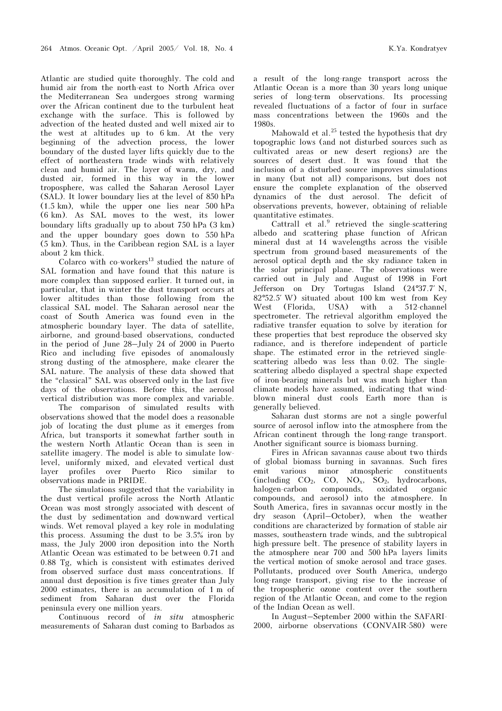Atlantic are studied quite thoroughly. The cold and humid air from the north-east to North Africa over the Mediterranean Sea undergoes strong warming over the African continent due to the turbulent heat exchange with the surface. This is followed by advection of the heated dusted and well mixed air to the west at altitudes up to 6 km. At the very beginning of the advection process, the lower boundary of the dusted layer lifts quickly due to the effect of northeastern trade winds with relatively clean and humid air. The layer of warm, dry, and dusted air, formed in this way in the lower troposphere, was called the Saharan Aerosol Layer (SAL). It lower boundary lies at the level of 850 hPa (1.5 km), while the upper one lies near 500 hPa (6 km). As SAL moves to the west, its lower boundary lifts gradually up to about 750 hPa (3 km) and the upper boundary goes down to 550 hPa (5 km). Thus, in the Caribbean region SAL is a layer about 2 km thick.

Colarco with  $co$ -workers<sup>13</sup> studied the nature of SAL formation and have found that this nature is more complex than supposed earlier. It turned out, in particular, that in winter the dust transport occurs at lower altitudes than those following from the classical SAL model. The Saharan aerosol near the coast of South America was found even in the atmospheric boundary layer. The data of satellite, airborne, and ground-based observations, conducted in the period of June 28–July 24 of 2000 in Puerto Rico and including five episodes of anomalously strong dusting of the atmosphere, make clearer the SAL nature. The analysis of these data showed that the "classical" SAL was observed only in the last five days of the observations. Before this, the aerosol vertical distribution was more complex and variable.

 The comparison of simulated results with observations showed that the model does a reasonable job of locating the dust plume as it emerges from Africa, but transports it somewhat farther south in the western North Atlantic Ocean than is seen in satellite imagery. The model is able to simulate lowlevel, uniformly mixed, and elevated vertical dust layer profiles over Puerto Rico similar to observations made in PRIDE.

The simulations suggested that the variability in the dust vertical profile across the North Atlantic Ocean was most strongly associated with descent of the dust by sedimentation and downward vertical winds. Wet removal played a key role in modulating this process. Assuming the dust to be 3.5% iron by mass, the July 2000 iron deposition into the North Atlantic Ocean was estimated to be between 0.71 and 0.88 Tg, which is consistent with estimates derived from observed surface dust mass concentrations. If annual dust deposition is five times greater than July 2000 estimates, there is an accumulation of 1 m of sediment from Saharan dust over the Florida peninsula every one million years.

Continuous record of in situ atmospheric measurements of Saharan dust coming to Barbados as a result of the long-range transport across the Atlantic Ocean is a more than 30 years long unique series of long-term observations. Its processing revealed fluctuations of a factor of four in surface mass concentrations between the 1960s and the 1980s.

Mahowald et al. $^{25}$  tested the hypothesis that dry topographic lows (and not disturbed sources such as cultivated areas or new desert regions) are the sources of desert dust. It was found that the inclusion of a disturbed source improves simulations in many (but not all) comparisons, but does not ensure the complete explanation of the observed dynamics of the dust aerosol. The deficit of observations prevents, however, obtaining of reliable quantitative estimates.

Cattrall et al. $9$  retrieved the single-scattering albedo and scattering phase function of African mineral dust at 14 wavelengths across the visible spectrum from ground-based measurements of the aerosol optical depth and the sky radiance taken in the solar principal plane. The observations were carried out in July and August of 1998 in Fort Jefferson on Dry Tortugas Island (24°37.7′ N, 82°52.5′ W) situated about 100 km west from Key West (Florida, USA) with a 512-channel spectrometer. The retrieval algorithm employed the radiative transfer equation to solve by iteration for these properties that best reproduce the observed sky radiance, and is therefore independent of particle shape. The estimated error in the retrieved singlescattering albedo was less than 0.02. The singlescattering albedo displayed a spectral shape expected of iron-bearing minerals but was much higher than climate models have assumed, indicating that windblown mineral dust cools Earth more than is generally believed.

Saharan dust storms are not a single powerful source of aerosol inflow into the atmosphere from the African continent through the long-range transport. Another significant source is biomass burning.

Fires in African savannas cause about two thirds of global biomass burning in savannas. Such fires emit various minor atmospheric constituents (including  $CO_2$ ,  $CO$ ,  $NO_x$ ,  $SO_2$ , hydrocarbons, halogen-carbon compounds, oxidated organic compounds, and aerosol) into the atmosphere. In South America, fires in savannas occur mostly in the dry season (April–October), when the weather conditions are characterized by formation of stable air masses, southeastern trade winds, and the subtropical high-pressure belt. The presence of stability layers in the atmosphere near 700 and 500 hPa layers limits the vertical motion of smoke aerosol and trace gases. Pollutants, produced over South America, undergo long-range transport, giving rise to the increase of the tropospheric ozone content over the southern region of the Atlantic Ocean, and come to the region of the Indian Ocean as well.

In August–September 2000 within the SAFARI-2000, airborne observations (CONVAIR-580) were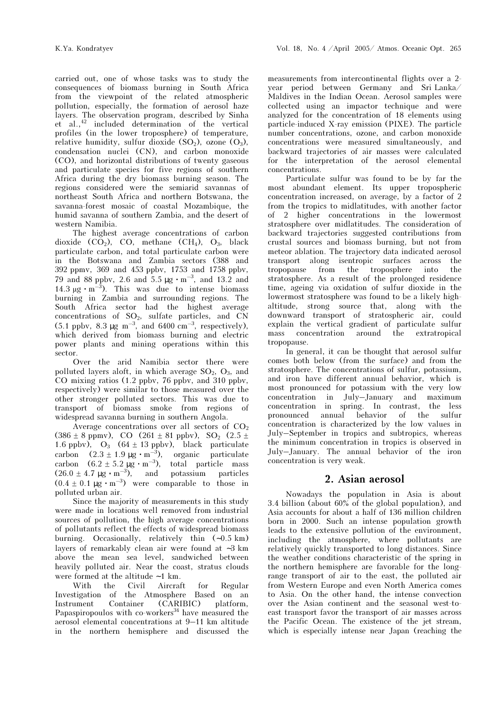carried out, one of whose tasks was to study the consequences of biomass burning in South Africa from the viewpoint of the related atmospheric pollution, especially, the formation of aerosol haze layers. The observation program, described by Sinha et al.,<sup>42</sup> included determination of the vertical profiles (in the lower troposphere) of temperature, relative humidity, sulfur dioxide  $(SO_2)$ , ozone  $(O_3)$ , condensation nuclei (CN), and carbon monoxide (CO), and horizontal distributions of twenty gaseous and particulate species for five regions of southern Africa during the dry biomass burning season. The regions considered were the semiarid savannas of northeast South Africa and northern Botswana, the savanna-forest mosaic of coastal Mozambique, the humid savanna of southern Zambia, and the desert of western Namibia.

The highest average concentrations of carbon dioxide  $(CO_2)$ , CO, methane  $(CH_4)$ , O<sub>3</sub>, black particulate carbon, and total particulate carbon were in the Botswana and Zambia sectors (388 and 392 ppmv, 369 and 453 ppbv, 1753 and 1758 ppbv, 79 and 88 ppby, 2.6 and 5.5  $\mu$ g ⋅ m<sup>-3</sup>, and 13.2 and 14.3  $\mu$ g ⋅ m<sup>-3</sup>). This was due to intense biomass burning in Zambia and surrounding regions. The South Africa sector had the highest average concentrations of SO2, sulfate particles, and CN  $(5.1 \text{ ppbv}, 8.3 \mu\text{g m}^{-3}, \text{ and } 6400 \text{ cm}^{-3}, \text{ respectively})$ , which derived from biomass burning and electric power plants and mining operations within this sector.

Over the arid Namibia sector there were polluted layers aloft, in which average  $SO_2$ ,  $O_3$ , and CO mixing ratios (1.2 ppbv, 76 ppbv, and 310 ppbv, respectively) were similar to those measured over the other stronger polluted sectors. This was due to transport of biomass smoke from regions of widespread savanna burning in southern Angola.

Average concentrations over all sectors of  $CO<sub>2</sub>$  $(386 \pm 8 \text{ ppmv})$ , CO  $(261 \pm 81 \text{ ppbv})$ , SO<sub>2</sub>  $(2.5 \pm$ 1.6 ppbv),  $O_3$  (64  $\pm$  13 ppbv), black particulate carbon  $(2.3 \pm 1.9 \,\mu\text{g} \cdot \text{m}^{-3})$ , organic particulate carbon  $(6.2 \pm 5.2 \,\mu\text{g} \cdot \text{m}^{-3})$ , total particle mass  $(26.0 \pm 4.7 \text{ µg} \cdot \text{m}^{-3})$ , and potassium particles  $(0.4 \pm 0.1 \text{ µg} \cdot \text{m}^{-3})$  were comparable to those in polluted urban air.

Since the majority of measurements in this study were made in locations well removed from industrial sources of pollution, the high average concentrations of pollutants reflect the effects of widespread biomass burning. Occasionally, relatively thin (∼0.5 km) layers of remarkably clean air were found at ∼3 km above the mean sea level, sandwiched between heavily polluted air. Near the coast, stratus clouds were formed at the altitude ∼ 1 km.

With the Civil Aircraft for Regular Investigation of the Atmosphere Based on an Instrument Container (CARIBIC) platform, Papaspiropoulos with  $co$ -workers<sup>34</sup> have measured the aerosol elemental concentrations at 9–11 km altitude in the northern hemisphere and discussed the

measurements from intercontinental flights over a 2 year period between Germany and Sri Lanka/ Maldives in the Indian Ocean. Aerosol samples were collected using an impactor technique and were analyzed for the concentration of 18 elements using particle-induced X-ray emission (PIXE). The particle number concentrations, ozone, and carbon monoxide concentrations were measured simultaneously, and backward trajectories of air masses were calculated for the interpretation of the aerosol elemental concentrations.

Particulate sulfur was found to be by far the most abundant element. Its upper tropospheric concentration increased, on average, by a factor of 2 from the tropics to midlatitudes, with another factor of 2 higher concentrations in the lowermost stratosphere over midlatitudes. The consideration of backward trajectories suggested contributions from crustal sources and biomass burning, but not from meteor ablation. The trajectory data indicated aerosol transport along isentropic surfaces across the tropopause from the troposphere into the stratosphere. As a result of the prolonged residence time, ageing via oxidation of sulfur dioxide in the lowermost stratosphere was found to be a likely highaltitude, strong source that, along with the downward transport of stratospheric air, could explain the vertical gradient of particulate sulfur mass concentration around the extratropical tropopause.

In general, it can be thought that aerosol sulfur comes both below (from the surface) and from the stratosphere. The concentrations of sulfur, potassium, and iron have different annual behavior, which is most pronounced for potassium with the very low concentration in July–January and maximum concentration in spring. In contrast, the less pronounced annual behavior of the sulfur concentration is characterized by the low values in July–September in tropics and subtropics, whereas the minimum concentration in tropics is observed in July–January. The annual behavior of the iron concentration is very weak.

### 2. Asian aerosol

Nowadays the population in Asia is about 3.4 billion (about 60% of the global population), and Asia accounts for about a half of 136 million children born in 2000. Such an intense population growth leads to the extensive pollution of the environment, including the atmosphere, where pollutants are relatively quickly transported to long distances. Since the weather conditions characteristic of the spring in the northern hemisphere are favorable for the longrange transport of air to the east, the polluted air from Western Europe and even North America comes to Asia. On the other hand, the intense convection over the Asian continent and the seasonal west-toeast transport favor the transport of air masses across the Pacific Ocean. The existence of the jet stream, which is especially intense near Japan (reaching the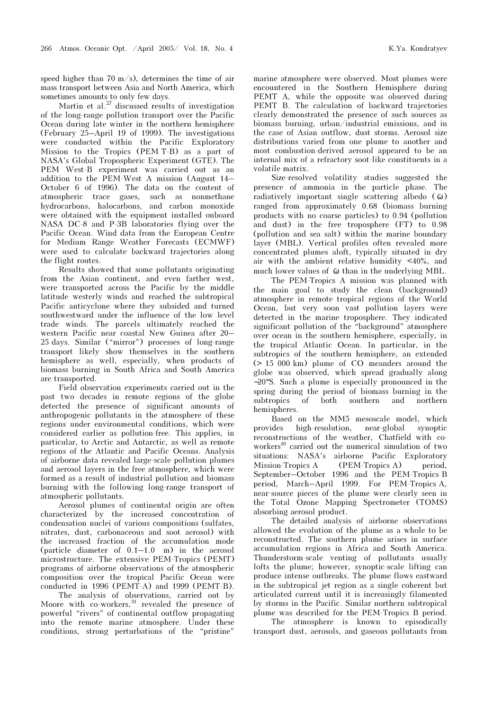speed higher than 70 m/s), determines the time of air mass transport between Asia and North America, which sometimes amounts to only few days.

Martin et al.<sup>27</sup> discussed results of investigation of the long-range pollution transport over the Pacific Ocean during late winter in the northern hemisphere (February 25–April 19 of 1999). The investigations were conducted within the Pacific Exploratory Mission to the Tropics (PEM T-B) as a part of NASA's Global Tropospheric Experiment (GTE). The PEM West-B experiment was carried out as an addition to the PEM-West A mission (August 14– October 6 of 1996). The data on the content of atmospheric trace gases, such as nonmethane hydrocarbons, halocarbons, and carbon monoxide were obtained with the equipment installed onboard NASA DC-8 and P-3B laboratories flying over the Pacific Ocean. Wind data from the European Centre for Medium Range Weather Forecasts (ECMWF) were used to calculate backward trajectories along the flight routes.

Results showed that some pollutants originating from the Asian continent, and even farther west, were transported across the Pacific by the middle latitude westerly winds and reached the subtropical Pacific anticyclone where they subsided and turned southwestward under the influence of the low level trade winds. The parcels ultimately reached the western Pacific near coastal New Guinea after 20– 25 days. Similar ("mirror") processes of long-range transport likely show themselves in the southern hemisphere as well, especially, when products of biomass burning in South Africa and South America are transported.

Field observation experiments carried out in the past two decades in remote regions of the globe detected the presence of significant amounts of anthropogenic pollutants in the atmosphere of these regions under environmental conditions, which were considered earlier as pollution-free. This applies, in particular, to Arctic and Antarctic, as well as remote regions of the Atlantic and Pacific Oceans. Analysis of airborne data revealed large-scale pollution plumes and aerosol layers in the free atmosphere, which were formed as a result of industrial pollution and biomass burning with the following long-range transport of atmospheric pollutants.

Aerosol plumes of continental origin are often characterized by the increased concentration of condensation nuclei of various compositions (sulfates, nitrates, dust, carbonaceous and soot aerosol) with the increased fraction of the accumulation mode (particle diameter of 0.1–1.0 m) in the aerosol microstructure. The extensive PEM-Tropics (PEMT) programs of airborne observations of the atmospheric composition over the tropical Pacific Ocean were conducted in 1996 (PEMT-A) and 1999 (PEMT-B).

 The analysis of observations, carried out by Moore with co-workers,<sup>31</sup> revealed the presence of powerful "rivers" of continental outflow propagating into the remote marine atmosphere. Under these conditions, strong perturbations of the "pristine" marine atmosphere were observed. Most plumes were encountered in the Southern Hemisphere during PEMT A, while the opposite was observed during PEMT B. The calculation of backward trajectories clearly demonstrated the presence of such sources as biomass burning, urban/industrial emissions, and in the case of Asian outflow, dust storms. Aerosol size distributions varied from one plume to another and most combustion-derived aerosol appeared to be an internal mix of a refractory soot-like constituents in a volatile matrix.

Size-resolved volatility studies suggested the presence of ammonia in the particle phase. The radiatively important single scattering albedo  $( \tilde{\omega} )$ ranged from approximately 0.68 (biomass burning products with no coarse particles) to 0.94 (pollution and dust) in the free troposphere (FT) to 0.98 (pollution and sea salt) within the marine boundary layer (MBL). Vertical profiles often revealed more concentrated plumes aloft, typically situated in dry air with the ambient relative humidity <40%, and much lower values of  $\ddot{\omega}$  than in the underlying MBL.

The PEM-Tropics À mission was planned with the main goal to study the clean (background) atmosphere in remote tropical regions of the World Ocean, but very soon vast pollution layers were detected in the marine troposphere. They indicated significant pollution of the "background" atmosphere over ocean in the southern hemisphere, especially, in the tropical Atlantic Ocean. In particular, in the subtropics of the southern hemisphere, an extended  $(> 15 000 km)$  plume of  $CO$  meanders around the globe was observed, which spread gradually along ∼20°S. Such a plume is especially pronounced in the spring during the period of biomass burning in the subtropics of both southern and northern hemispheres.

Based on the MM5 mesoscale model, which provides high-resolution, near-global synoptic reconstructions of the weather, Chatfield with coworkers<sup>10</sup> carried out the numerical simulation of two situations: NASA's airborne Pacific Exploratory Mission-Tropics A (PEM-Tropics A) period, September–October 1996 and the PEM-Tropics B period, March–April 1999. For PEM-Tropics A, near-source pieces of the plume were clearly seen in the Total Ozone Mapping Spectrometer (TOMS) absorbing aerosol product.

The detailed analysis of airborne observations allowed the evolution of the plume as a whole to be reconstructed. The southern plume arises in surface accumulation regions in Africa and South America. Thunderstorm-scale venting of pollutants usually lofts the plume; however, synoptic-scale lifting can produce intense outbreaks. The plume flows eastward in the subtropical jet region as a single coherent but articulated current until it is increasingly filamented by storms in the Pacific. Similar northern subtropical plume was described for the PEM-Tropics B period.

 The atmosphere is known to episodically transport dust, aerosols, and gaseous pollutants from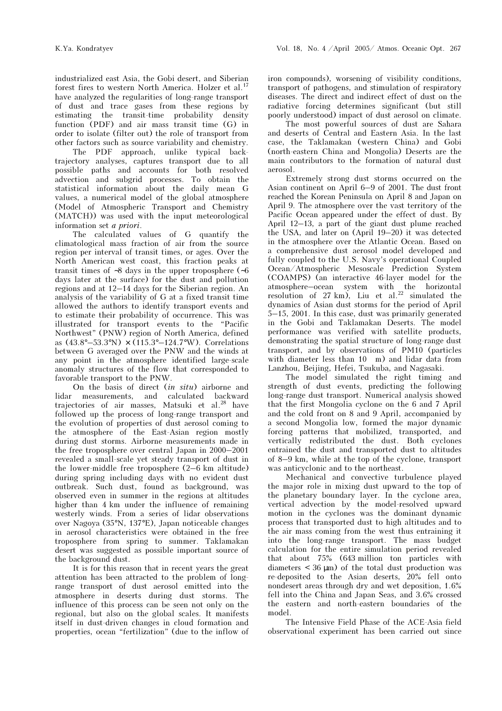industrialized east Asia, the Gobi desert, and Siberian forest fires to western North America. Holzer et al.<sup>17</sup> have analyzed the regularities of long-range transport of dust and trace gases from these regions by estimating the transit-time probability density function (PDF) and air mass transit time (G) in order to isolate (filter out) the role of transport from other factors such as source variability and chemistry.

 The PDF approach, unlike typical backtrajectory analyses, captures transport due to all possible paths and accounts for both resolved advection and subgrid processes. To obtain the statistical information about the daily mean G values, a numerical model of the global atmosphere (Model of Atmospheric Transport and Chemistry (MATCH)) was used with the input meteorological information set a priori.

The calculated values of G quantify the climatological mass fraction of air from the source region per interval of transit times, or ages. Over the North American west coast, this fraction peaks at transit times of ∼8 days in the upper troposphere (∼6 days later at the surface) for the dust and pollution regions and at 12–14 days for the Siberian region. An analysis of the variability of G at a fixed transit time allowed the authors to identify transport events and to estimate their probability of occurrence. This was illustrated for transport events to the "Pacific Northwest" (PNW) region of North America, defined as (43.8°–53.3°N) × (115.3°–124.7°W). Correlations between G averaged over the PNW and the winds at any point in the atmosphere identified large-scale anomaly structures of the flow that corresponded to favorable transport to the PNW.

On the basis of direct (in situ) airborne and lidar measurements, and calculated backward trajectories of air masses, Matsuki et al.<sup>28</sup> have followed up the process of long-range transport and the evolution of properties of dust aerosol coming to the atmosphere of the East-Asian region mostly during dust storms. Airborne measurements made in the free troposphere over central Japan in 2000–2001 revealed a small-scale yet steady transport of dust in the lower-middle free troposphere (2–6 km altitude) during spring including days with no evident dust outbreak. Such dust, found as background, was observed even in summer in the regions at altitudes higher than 4 km under the influence of remaining westerly winds. From a series of lidar observations over Nagoya (35°N, 137°E), Japan noticeable changes in aerosol characteristics were obtained in the free troposphere from spring to summer. Taklamakan desert was suggested as possible important source of the background dust.

It is for this reason that in recent years the great attention has been attracted to the problem of longrange transport of dust aerosol emitted into the atmosphere in deserts during dust storms. The influence of this process can be seen not only on the regional, but also on the global scales. It manifests itself in dust-driven changes in cloud formation and properties, ocean "fertilization" (due to the inflow of iron compounds), worsening of visibility conditions, transport of pathogens, and stimulation of respiratory diseases. The direct and indirect effect of dust on the radiative forcing determines significant (but still poorly understood) impact of dust aerosol on climate.

 The most powerful sources of dust are Sahara and deserts of Central and Eastern Asia. In the last case, the Taklamakan (western China) and Gobi (north-eastern China and Mongolia) Deserts are the main contributors to the formation of natural dust aerosol.

Extremely strong dust storms occurred on the Asian continent on April 6–9 of 2001. The dust front reached the Korean Peninsula on April 8 and Japan on April 9. The atmosphere over the vast territory of the Pacific Ocean appeared under the effect of dust. By April 12–13, a part of the giant dust plume reached the USA, and later on (April 19–20) it was detected in the atmosphere over the Atlantic Ocean. Based on a comprehensive dust aerosol model developed and fully coupled to the U.S. Navy's operational Coupled Ocean/Atmospheric Mesoscale Prediction System (COAMPS) (an interactive 46-layer model for the atmosphere–ocean system with the horizontal resolution of  $27 \text{ km}$ , Liu et al.<sup>22</sup> simulated the dynamics of Asian dust storms for the period of April 5–15, 2001. In this case, dust was primarily generated in the Gobi and Taklamakan Deserts. The model performance was verified with satellite products, demonstrating the spatial structure of long-range dust transport, and by observations of PM10 (particles with diameter less than 10 m) and lidar data from Lanzhou, Beijing, Hefei, Tsukuba, and Nagasaki.

The model simulated the right timing and strength of dust events, predicting the following long-range dust transport. Numerical analysis showed that the first Mongolia cyclone on the 6 and 7 April and the cold front on 8 and 9 April, accompanied by a second Mongolia low, formed the major dynamic forcing patterns that mobilized, transported, and vertically redistributed the dust. Both cyclones entrained the dust and transported dust to altitudes of 8–9 km, while at the top of the cyclone, transport was anticyclonic and to the northeast.

Mechanical and convective turbulence played the major role in mixing dust upward to the top of the planetary boundary layer. In the cyclone area, vertical advection by the model-resolved upward motion in the cyclones was the dominant dynamic process that transported dust to high altitudes and to the air mass coming from the west thus entraining it into the long-range transport. The mass budget calculation for the entire simulation period revealed that about 75% (643 million ton particles with diameters  $\lt$  36  $\mu$ m) of the total dust production was re-deposited to the Asian deserts, 20% fell onto nondesert areas through dry and wet deposition, 1.6% fell into the China and Japan Seas, and 3.6% crossed the eastern and north-eastern boundaries of the model.

The Intensive Field Phase of the ACE-Asia field observational experiment has been carried out since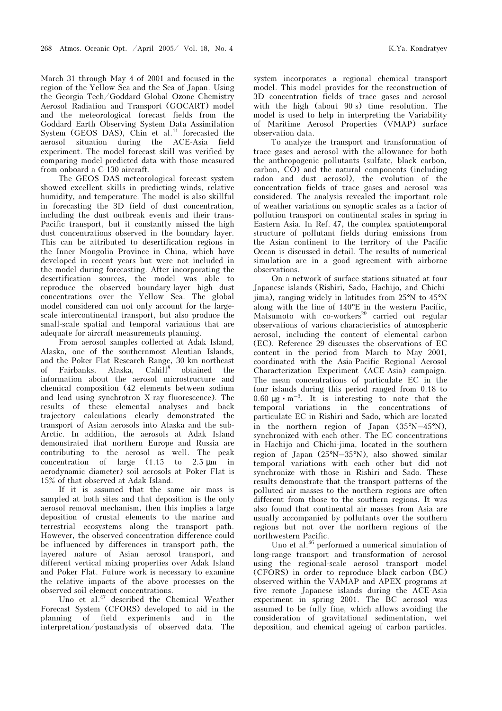March 31 through May 4 of 2001 and focused in the region of the Yellow Sea and the Sea of Japan. Using the Georgia Tech/Goddard Global Ozone Chemistry Aerosol Radiation and Transport (GOCART) model and the meteorological forecast fields from the Goddard Earth Observing System Data Assimilation System (GEOS DAS), Chin et al.<sup>11</sup> forecasted the aerosol situation during the ACE-Asia field experiment. The model forecast skill was verified by comparing model-predicted data with those measured from onboard a C-130 aircraft.

The GEOS DAS meteorological forecast system showed excellent skills in predicting winds, relative humidity, and temperature. The model is also skillful in forecasting the 3D field of dust concentration, including the dust outbreak events and their trans-Pacific transport, but it constantly missed the high dust concentrations observed in the boundary layer. This can be attributed to desertification regions in the Inner Mongolia Province in China, which have developed in recent years but were not included in the model during forecasting. After incorporating the desertification sources, the model was able to reproduce the observed boundary-layer high dust concentrations over the Yellow Sea. The global model considered can not only account for the largescale intercontinental transport, but also produce the small-scale spatial and temporal variations that are adequate for aircraft measurements planning.

From aerosol samples collected at Adak Island, Alaska, one of the southernmost Aleutian Islands, and the Poker Flat Research Range, 30 km northeast of Fairbanks, Alaska, Cahill<sup>8</sup> obtained the information about the aerosol microstructure and chemical composition (42 elements between sodium and lead using synchrotron X-ray fluorescence). The results of these elemental analyses and back trajectory calculations clearly demonstrated the transport of Asian aerosols into Alaska and the sub-Arctic. In addition, the aerosols at Adak Island demonstrated that northern Europe and Russia are contributing to the aerosol as well. The peak concentration of large  $(1.15 \text{ to } 2.5 \text{ µm} \text{ in }$ aerodynamic diameter) soil aerosols at Poker Flat is 15% of that observed at Adak Island.

If it is assumed that the same air mass is sampled at both sites and that deposition is the only aerosol removal mechanism, then this implies a large deposition of crustal elements to the marine and terrestrial ecosystems along the transport path. However, the observed concentration difference could be influenced by differences in transport path, the layered nature of Asian aerosol transport, and different vertical mixing properties over Adak Island and Poker Flat. Future work is necessary to examine the relative impacts of the above processes on the observed soil element concentrations.

Uno et al.<sup>47</sup> described the Chemical Weather Forecast System (CFORS) developed to aid in the planning of field experiments and in the interpretation/postanalysis of observed data. The system incorporates a regional chemical transport model. This model provides for the reconstruction of 3D concentration fields of trace gases and aerosol with the high (about 90 s) time resolution. The model is used to help in interpreting the Variability of Maritime Aerosol Properties (VMAP) surface observation data.

To analyze the transport and transformation of trace gases and aerosol with the allowance for both the anthropogenic pollutants (sulfate, black carbon, carbon, CO) and the natural components (including radon and dust aerosol), the evolution of the concentration fields of trace gases and aerosol was considered. The analysis revealed the important role of weather variations on synoptic scales as a factor of pollution transport on continental scales in spring in Eastern Asia. In Ref. 47, the complex spatiotemporal structure of pollutant fields during emissions from the Asian continent to the territory of the Pacific Ocean is discussed in detail. The results of numerical simulation are in a good agreement with airborne observations.

On a network of surface stations situated at four Japanese islands (Rishiri, Sado, Hachijo, and Chichijima), ranging widely in latitudes from 25°N to 45°N along with the line of 140°E in the western Pacific, Matsumoto with  $\cos^{29}$  carried out regular observations of various characteristics of atmospheric aerosol, including the content of elemental carbon (EC). Reference 29 discusses the observations of EC content in the period from March to May 2001, coordinated with the Asia-Pacific Regional Aerosol Characterization Experiment (ACE-Asia) campaign. The mean concentrations of particulate EC in the four islands during this period ranged from 0.18 to 0.60  $\mu$ g · m<sup>-3</sup>. It is interesting to note that the temporal variations in the concentrations of particulate EC in Rishiri and Sado, which are located in the northern region of Japan (35°N–45°N), synchronized with each other. The EC concentrations in Hachijo and Chichi-jima, located in the southern region of Japan (25°N–35°N), also showed similar temporal variations with each other but did not synchronize with those in Rishiri and Sado. These results demonstrate that the transport patterns of the polluted air masses to the northern regions are often different from those to the southern regions. It was also found that continental air masses from Asia are usually accompanied by pollutants over the southern regions but not over the northern regions of the northwestern Pacific.

Uno et al.<sup>46</sup> performed a numerical simulation of long-range transport and transformation of aerosol using the regional-scale aerosol transport model (CFORS) in order to reproduce black carbon (BC) observed within the VAMAP and APEX programs at five remote Japanese islands during the ACE-Asia experiment in spring 2001. The BC aerosol was assumed to be fully fine, which allows avoiding the consideration of gravitational sedimentation, wet deposition, and chemical ageing of carbon particles.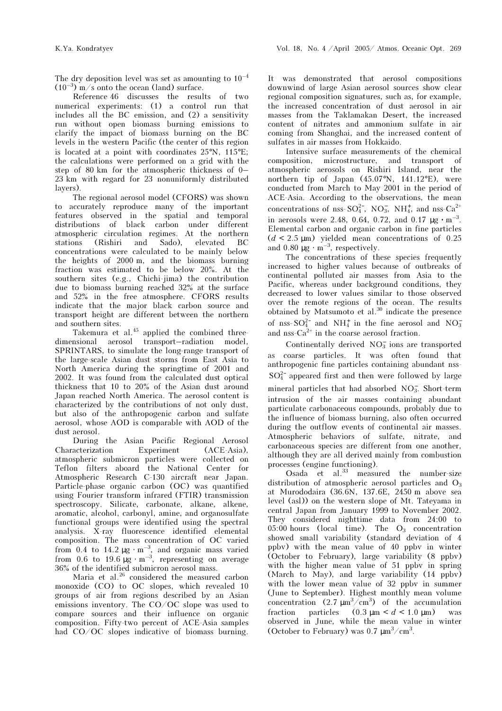The dry deposition level was set as amounting to  $10^{-4}$  $(10^{-3})$  m/s onto the ocean (land) surface.

Reference 46 discusses the results of two numerical experiments: (1) a control run that includes all the BC emission, and (2) a sensitivity run without open biomass burning emissions to clarify the impact of biomass burning on the BC levels in the western Pacific (the center of this region is located at a point with coordinates 25°N, 115°E; the calculations were performed on a grid with the step of 80 km for the atmospheric thickness of 0– 23 km with regard for 23 nonuniformly distributed layers).

The regional aerosol model (CFORS) was shown to accurately reproduce many of the important features observed in the spatial and temporal distributions of black carbon under different atmospheric circulation regimes. At the northern stations (Rishiri and Sado), elevated BC concentrations were calculated to be mainly below the heights of 2000 m, and the biomass burning fraction was estimated to be below 20%. At the southern sites (e.g., Chichi-jima) the contribution due to biomass burning reached 32% at the surface and 52% in the free atmosphere. CFORS results indicate that the major black carbon source and transport height are different between the northern and southern sites.

Takemura et al.<sup>45</sup> applied the combined threedimensional aerosol transport–radiation model, SPRINTARS, to simulate the long-range transport of the large-scale Asian dust storms from East Asia to North America during the springtime of 2001 and 2002. It was found from the calculated dust optical thickness that 10 to 20% of the Asian dust around Japan reached North America. The aerosol content is characterized by the contributions of not only dust, but also of the anthropogenic carbon and sulfate aerosol, whose AOD is comparable with AOD of the dust aerosol.

During the Asian Pacific Regional Aerosol Characterization Experiment (ACE-Asia), atmospheric submicron particles were collected on Teflon filters aboard the National Center for Atmospheric Research C-130 aircraft near Japan. Particle-phase organic carbon (OC) was quantified using Fourier transform infrared (FTIR) transmission spectroscopy. Silicate, carbonate, alkane, alkene, aromatic, alcohol, carbonyl, amine, and organosulfate functional groups were identified using the spectral analysis. X-ray fluorescence identified elemental composition. The mass concentration of OC varied from 0.4 to 14.2  $\mu$ g · m<sup>-3</sup>, and organic mass varied from 0.6 to 19.6  $\mu$ g · m<sup>-3</sup>, representing on average 36% of the identified submicron aerosol mass.

Maria et al.<sup>26</sup> considered the measured carbon monoxide (CO) to OC slopes, which revealed 10 groups of air from regions described by an Asian emissions inventory. The CO/OC slope was used to compare sources and their influence on organic composition. Fifty-two percent of ACE-Asia samples had CO/OC slopes indicative of biomass burning.

It was demonstrated that aerosol compositions downwind of large Asian aerosol sources show clear regional composition signatures, such as, for example, the increased concentration of dust aerosol in air masses from the Taklamakan Desert, the increased content of nitrates and ammonium sulfate in air coming from Shanghai, and the increased content of sulfates in air masses from Hokkaido.

Intensive surface measurements of the chemical composition, microstructure, and transport of atmospheric aerosols on Rishiri Island, near the northern tip of Japan (45.07°N, 141.12°E), were conducted from March to May 2001 in the period of ACE-Asia. According to the observations, the mean concentrations of nss- $SO_4^{2-}$ , NO<sub>3</sub>, NH<sub>4</sub>, and nss-Ca<sup>2+</sup> in aerosols were 2.48, 0.64, 0.72, and 0.17  $\mu$ g ⋅ m<sup>-3</sup>. Elemental carbon and organic carbon in fine particles  $(d < 2.5 \text{ µm})$  yielded mean concentrations of 0.25 and 0.80  $\mu$ g · m<sup>-3</sup>, respectively.

The concentrations of these species frequently increased to higher values because of outbreaks of continental polluted air masses from Asia to the Pacific, whereas under background conditions, they decreased to lower values similar to those observed over the remote regions of the ocean. The results obtained by Matsumoto et al.<sup>30</sup> indicate the presence of nss- $SO_4^{2-}$  and  $NH_4^+$  in the fine aerosol and  $NO_3^$ and nss- $Ca^{2+}$  in the coarse aerosol fraction.

Continentally derived  $NO<sub>3</sub>$  ions are transported as coarse particles. It was often found that anthropogenic fine particles containing abundant nss- $SO_4^{2-}$  appeared first and then were followed by large mineral particles that had absorbed NO<sub>3</sub>. Short-term intrusion of the air masses containing abundant particulate carbonaceous compounds, probably due to the influence of biomass burning, also often occurred during the outflow events of continental air masses. Atmospheric behaviors of sulfate, nitrate, and carbonaceous species are different from one another, although they are all derived mainly from combustion processes (engine functioning).

Osada et al.<sup>33</sup> measured the number-size distribution of atmospheric aerosol particles and  $O_3$ at Murododaira (36.6N, 137.6E, 2450 m above sea level (asl)) on the western slope of Mt. Tateyama in central Japan from January 1999 to November 2002. They considered nighttime data from 24:00 to  $05:00$  hours (local time). The  $O_3$  concentration showed small variability (standard deviation of 4 ppbv) with the mean value of 40 ppbv in winter (October to February), large variability (8 ppbv) with the higher mean value of 51 ppbv in spring (March to May), and large variability (14 ppbv) with the lower mean value of 32 ppbv in summer (June to September). Highest monthly mean volume concentration  $(2.7 \text{ }\mu\text{m}^3/\text{cm}^3)$  of the accumulation fraction particles  $(0.3 \text{ µm} < d < 1.0 \text{ µm})$  was observed in June, while the mean value in winter (October to February) was  $0.7 \mu m^3 / cm^3$ .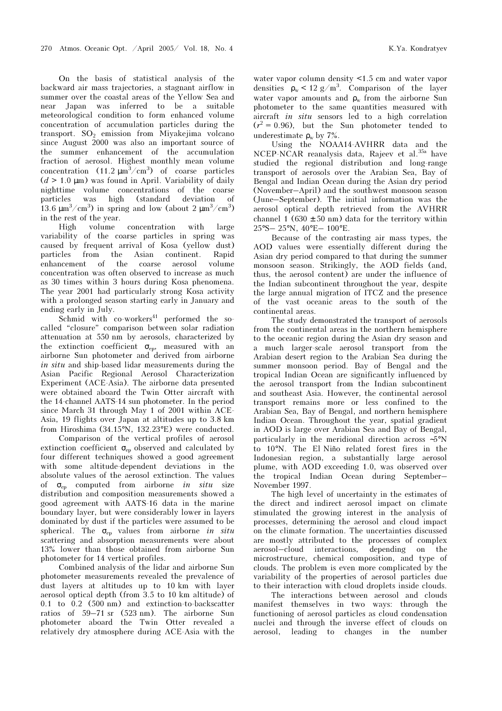On the basis of statistical analysis of the backward air mass trajectories, a stagnant airflow in summer over the coastal areas of the Yellow Sea and near Japan was inferred to be a suitable meteorological condition to form enhanced volume concentration of accumulation particles during the transport. SO<sub>2</sub> emission from Miyakejima volcano since August 2000 was also an important source of the summer enhancement of the accumulation fraction of aerosol. Highest monthly mean volume concentration  $(11.2 \mu m^3/cm^3)$  of coarse particles  $(d > 1.0 \text{ µm})$  was found in April. Variability of daily nighttime volume concentrations of the coarse particles was high (standard deviation of 13.6  $\mu$ m<sup>3</sup>/cm<sup>3</sup>) in spring and low (about 2  $\mu$ m<sup>3</sup>/cm<sup>3</sup>) in the rest of the year.

High volume concentration with large variability of the coarse particles in spring was caused by frequent arrival of Kosa (yellow dust) particles from the Asian continent. Rapid enhancement of the coarse aerosol volume concentration was often observed to increase as much as 30 times within 3 hours during Kosa phenomena. The year 2001 had particularly strong Kosa activity with a prolonged season starting early in January and ending early in July.

 $Schmid$  with co-workers<sup>41</sup> performed the socalled "closure" comparison between solar radiation attenuation at 550 nm by aerosols, characterized by the extinction coefficient  $\sigma_{ep}$ , measured with an airborne Sun photometer and derived from airborne in situ and ship-based lidar measurements during the Asian Pacific Regional Aerosol Characterization Experiment (ACE-Asia). The airborne data presented were obtained aboard the Twin Otter aircraft with the 14-channel AATS-14 sun photometer. In the period since March 31 through May 1 of 2001 within ACE-Asia, 19 flights over Japan at altitudes up to 3.8 km from Hiroshima (34.15°N, 132.23°E) were conducted.

 Comparison of the vertical profiles of aerosol extinction coefficient  $\sigma_{\rm ep}$  observed and calculated by four different techniques showed a good agreement with some altitude-dependent deviations in the absolute values of the aerosol extinction. The values of  $\sigma_{ep}$  computed from airborne in situ size distribution and composition measurements showed a good agreement with AATS-16 data in the marine boundary layer, but were considerably lower in layers dominated by dust if the particles were assumed to be spherical. The  $\sigma_{ep}$  values from airborne in situ scattering and absorption measurements were about 13% lower than those obtained from airborne Sun photometer for 14 vertical profiles.

Combined analysis of the lidar and airborne Sun photometer measurements revealed the prevalence of dust layers at altitudes up to 10 km with layer aerosol optical depth (from 3.5 to 10 km altitude) of 0.1 to 0.2 (500 nm) and extinction-to-backscatter ratios of 59–71 sr (523 nm). The airborne Sun photometer aboard the Twin Otter revealed a relatively dry atmosphere during ACE-Asia with the water vapor column density <1.5 cm and water vapor densities  $\rho_w < 12 g/m^3$ . Comparison of the layer water vapor amounts and  $\rho_w$  from the airborne Sun photometer to the same quantities measured with aircraft in situ sensors led to a high correlation  $(r^2 = 0.96)$ , but the Sun photometer tended to underestimate  $\rho_w$  by 7%.

Using the NOAA14-AVHRR data and the NCEP-NCAR reanalysis data. Rajeev et al.<sup>35a</sup> have studied the regional distribution and long-range transport of aerosols over the Arabian Sea, Bay of Bengal and Indian Ocean during the Asian dry period (November–April) and the southwest monsoon season (June–September). The initial information was the aerosol optical depth retrieved from the AVHRR channel 1 (630  $\pm$  50 nm) data for the territory within 25°S– 25°N, 40°E– 100°E.

Because of the contrasting air mass types, the AOD values were essentially different during the Asian dry period compared to that during the summer monsoon season. Strikingly, the AOD fields (and, thus, the aerosol content) are under the influence of the Indian subcontinent throughout the year, despite the large annual migration of ITCZ and the presence of the vast oceanic areas to the south of the continental areas.

The study demonstrated the transport of aerosols from the continental areas in the northern hemisphere to the oceanic region during the Asian dry season and a much larger-scale aerosol transport from the Arabian desert region to the Arabian Sea during the summer monsoon period. Bay of Bengal and the tropical Indian Ocean are significantly influenced by the aerosol transport from the Indian subcontinent and southeast Asia. However, the continental aerosol transport remains more or less confined to the Arabian Sea, Bay of Bengal, and northern hemisphere Indian Ocean. Throughout the year, spatial gradient in AOD is large over Arabian Sea and Bay of Bengal, particularly in the meridional direction across ∼5°N to 10°N. The El Niño related forest fires in the Indonesian region, a substantially large aerosol plume, with AOD exceeding 1.0, was observed over the tropical Indian Ocean during September– November 1997.

The high level of uncertainty in the estimates of the direct and indirect aerosol impact on climate stimulated the growing interest in the analysis of processes, determining the aerosol and cloud impact on the climate formation. The uncertainties discussed are mostly attributed to the processes of complex aerosol–cloud interactions, depending on the microstructure, chemical composition, and type of clouds. The problem is even more complicated by the variability of the properties of aerosol particles due to their interaction with cloud droplets inside clouds.

 The interactions between aerosol and clouds manifest themselves in two ways: through the functioning of aerosol particles as cloud condensation nuclei and through the inverse effect of clouds on aerosol, leading to changes in the number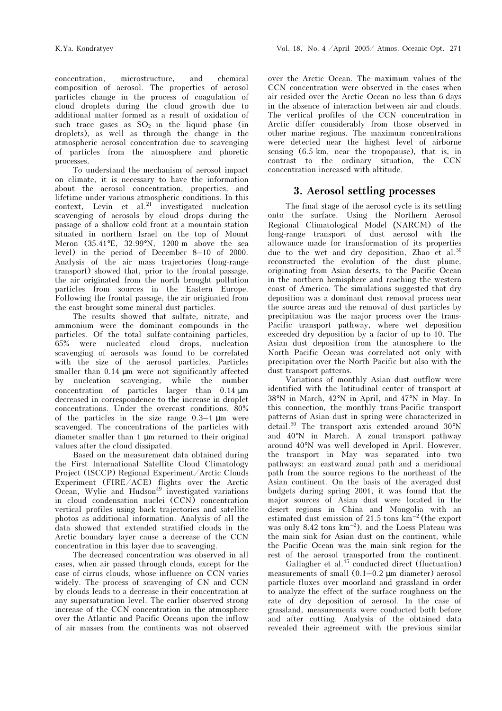concentration, microstructure, and chemical composition of aerosol. The properties of aerosol particles change in the process of coagulation of cloud droplets during the cloud growth due to additional matter formed as a result of oxidation of such trace gases as  $SO_2$  in the liquid phase (in droplets), as well as through the change in the atmospheric aerosol concentration due to scavenging of particles from the atmosphere and phoretic processes.

To understand the mechanism of aerosol impact on climate, it is necessary to have the information about the aerosol concentration, properties, and lifetime under various atmospheric conditions. In this  $context$ , Levin et al.<sup>21</sup> investigated nucleation scavenging of aerosols by cloud drops during the passage of a shallow cold front at a mountain station situated in northern Israel on the top of Mount Meron (35.41°E, 32.99°N, 1200 m above the sea level) in the period of December 8–10 of 2000. Analysis of the air mass trajectories (long-range transport) showed that, prior to the frontal passage, the air originated from the north brought pollution particles from sources in the Eastern Europe. Following the frontal passage, the air originated from the east brought some mineral dust particles.

The results showed that sulfate, nitrate, and ammonium were the dominant compounds in the particles. Of the total sulfate-containing particles, 65% were nucleated cloud drops, nucleation scavenging of aerosols was found to be correlated with the size of the aerosol particles. Particles smaller than 0.14  $\mu$ m were not significantly affected by nucleation scavenging, while the number concentration of particles larger than 0.14 µm decreased in correspondence to the increase in droplet concentrations. Under the overcast conditions, 80% of the particles in the size range  $0.3-1 \mu m$  were scavenged. The concentrations of the particles with diameter smaller than 1 µm returned to their original values after the cloud dissipated.

Based on the measurement data obtained during the First International Satellite Cloud Climatology Project (ISCCP) Regional Experiment/Arctic Clouds Experiment (FIRE/ACE) flights over the Arctic Ocean, Wylie and Hudson<sup>49</sup> investigated variations in cloud condensation nuclei (CCN) concentration vertical profiles using back trajectories and satellite photos as additional information. Analysis of all the data showed that extended stratified clouds in the Arctic boundary layer cause a decrease of the CCN concentration in this layer due to scavenging.

The decreased concentration was observed in all cases, when air passed through clouds, except for the case of cirrus clouds, whose influence on CCN varies widely. The process of scavenging of CN and CCN by clouds leads to a decrease in their concentration at any supersaturation level. The earlier observed strong increase of the CCN concentration in the atmosphere over the Atlantic and Pacific Oceans upon the inflow of air masses from the continents was not observed

over the Arctic Ocean. The maximum values of the CCN concentration were observed in the cases when air resided over the Arctic Ocean no less than 6 days in the absence of interaction between air and clouds. The vertical profiles of the CCN concentration in Arctic differ considerably from those observed in other marine regions. The maximum concentrations were detected near the highest level of airborne sensing (6.5 km, near the tropopause), that is, in contrast to the ordinary situation, the CCN concentration increased with altitude.

## 3. Aerosol settling processes

The final stage of the aerosol cycle is its settling onto the surface. Using the Northern Aerosol Regional Climatological Model (NARCM) of the long-range transport of dust aerosol with the allowance made for transformation of its properties due to the wet and dry deposition, Zhao et al. $50$ reconstructed the evolution of the dust plume, originating from Asian deserts, to the Pacific Ocean in the northern hemisphere and reaching the western coast of America. The simulations suggested that dry deposition was a dominant dust removal process near the source areas and the removal of dust particles by precipitation was the major process over the trans-Pacific transport pathway, where wet deposition exceeded dry deposition by a factor of up to 10. The Asian dust deposition from the atmosphere to the North Pacific Ocean was correlated not only with precipitation over the North Pacific but also with the dust transport patterns.

Variations of monthly Asian dust outflow were identified with the latitudinal center of transport at 38°N in March, 42°N in April, and 47°N in May. In this connection, the monthly trans-Pacific transport patterns of Asian dust in spring were characterized in detail.<sup>50</sup> The transport axis extended around 30°N and 40°N in March. A zonal transport pathway around 40°N was well developed in April. However, the transport in May was separated into two pathways: an eastward zonal path and a meridional path from the source regions to the northeast of the Asian continent. On the basis of the averaged dust budgets during spring 2001, it was found that the major sources of Asian dust were located in the desert regions in China and Mongolia with an estimated dust emission of 21.5 tons km–2 (the export was only 8.42 tons  $km^{-2}$ ), and the Loess Plateau was the main sink for Asian dust on the continent, while the Pacific Ocean was the main sink region for the rest of the aerosol transported from the continent.

Gallagher et al.<sup>15</sup> conducted direct (fluctuation) measurements of small  $(0.1-0.2 \mu m \text{ diameter})$  aerosol particle fluxes over moorland and grassland in order to analyze the effect of the surface roughness on the rate of dry deposition of aerosol. In the case of grassland, measurements were conducted both before and after cutting. Analysis of the obtained data revealed their agreement with the previous similar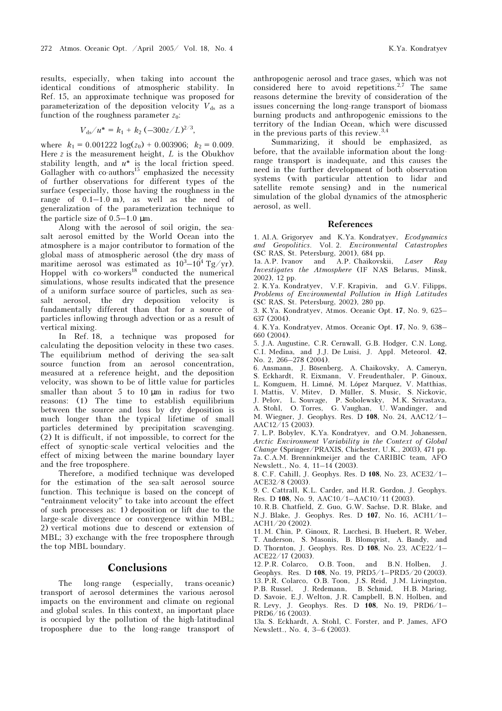results, especially, when taking into account the identical conditions of atmospheric stability. In Ref. 15, an approximate technique was proposed for parameterization of the deposition velocity  $V_{ds}$  as a function of the roughness parameter  $z_0$ :

$$
V_{\rm ds}/u^* = k_1 + k_2 \left(-300z/L\right)^{2/3},
$$

where  $k_1 = 0.001222 \log(z_0) + 0.003906$ ;  $k_2 = 0.009$ . Here  $z$  is the measurement height,  $L$  is the Obukhov stability length, and  $u^*$  is the local friction speed. Gallagher with  $\cos^{15}$  emphasized the necessity of further observations for different types of the surface (especially, those having the roughness in the range of  $0.1-1.0$  m), as well as the need of generalization of the parameterization technique to the particle size of 0.5–1.0 µm.

Along with the aerosol of soil origin, the seasalt aerosol emitted by the World Ocean into the atmosphere is a major contributor to formation of the global mass of atmospheric aerosol (the dry mass of maritime aerosol was estimated as  $10^3 - 10^4$  Tg/yr). Hoppel with co-workers<sup>18</sup> conducted the numerical simulations, whose results indicated that the presence of a uniform surface source of particles, such as seasalt aerosol, the dry deposition velocity is fundamentally different than that for a source of particles inflowing through advection or as a result of vertical mixing.

In Ref. 18, a technique was proposed for calculating the deposition velocity in these two cases. The equilibrium method of deriving the sea-salt source function from an aerosol concentration, measured at a reference height, and the deposition velocity, was shown to be of little value for particles smaller than about 5 to 10  $\mu$ m in radius for two reasons: (1) The time to establish equilibrium between the source and loss by dry deposition is much longer than the typical lifetime of small particles determined by precipitation scavenging. (2) It is difficult, if not impossible, to correct for the effect of synoptic-scale vertical velocities and the effect of mixing between the marine boundary layer and the free troposphere.

Therefore, a modified technique was developed for the estimation of the sea-salt aerosol source function. This technique is based on the concept of "entrainment velocity" to take into account the effect of such processes as: 1) deposition or lift due to the large-scale divergence or convergence within MBL; 2) vertical motions due to descend or extension of MBL; 3) exchange with the free troposphere through the top MBL boundary.

#### **Conclusions**

The long-range (especially, trans-oceanic) transport of aerosol determines the various aerosol impacts on the environment and climate on regional and global scales. In this context, an important place is occupied by the pollution of the high-latitudinal troposphere due to the long-range transport of issues concerning the long-range transport of biomass burning products and anthropogenic emissions to the territory of the Indian Ocean, which were discussed in the previous parts of this review.<sup>3,4</sup>

Summarizing, it should be emphasized, as before, that the available information about the longrange transport is inadequate, and this causes the need in the further development of both observation systems (with particular attention to lidar and satellite remote sensing) and in the numerical simulation of the global dynamics of the atmospheric aerosol, as well.

#### References

1. Al.A. Grigoryev and K.Ya. Kondratyev, Ecodynamics and Geopolitics. Vol. 2. Environmental Catastrophes (SC RAS, St. Petersburg, 2001), 684 pp.

1a. A.P. Ivanov and A.P. Chaikovskii, Laser Ray Investigates the Atmosphere (IF NAS Belarus, Minsk, 2002), 12 pp.

2. K.Ya. Kondratyev, V.F. Krapivin, and G.V. Filipps, Problems of Environmental Pollution in High Latitudes (SC RAS, St. Petersburg, 2002), 280 pp.

3. K.Ya. Kondratyev, Atmos. Oceanic Opt. 17, No. 9, 625– 637 (2004).

4. K.Ya. Kondratyev, Atmos. Oceanic Opt. 17, No. 9, 638– 660 (2004).

5. J.A. Augustine, C.R. Cernwall, G.B. Hodger, C.N. Long, C.I. Medina, and J.J. De Luisi, J. Appl. Meteorol. 42, No. 2, 266–278 (2004).

6. Ansmann, J. Bösenberg, A. Chaikovsky, A. Cameryn, S. Eckhardt, R. Eixmann, V. Freudenthaler, P. Ginoux, L. Komguem, H. Limné, M. López Màrquez, V. Matthias, I. Mattis, V. Mitev, D. Müller, S. Music, S. Nickovic, J. Pelov, L. Souvage, P. Sobolewsky, M.K. Srivastava, A. Stohl, O. Torres, G. Vaughan, U. Wandinger, and M. Wiegner, J. Geophys. Res. D 108, No. 24, AAC12/1–  $AAC12/15$  (2003).

7. L.P. Bobylev, K.Ya. Kondratyev, and O.M. Johanessen, Arctic Environment Variability in the Context of Global Change (Springer/PRAXIS, Chichester, U.K., 2003), 471 pp. 7a. C.A.M. Brenninkmeijer and the CARIBIC team, AFO Newslett., No. 4, 11–14 (2003).

8. C.F. Cahill, J. Geophys. Res. D 108, No. 23, ACE32/1– ACE32/8 (2003).

9. C. Cattrall, K.L. Carder, and H.R. Gordon, J. Geophys. Res. D 108, No. 9, AAC10/1–AAC10/11 (2003).

10. R.B. Chatfield, Z. Guo, G.W. Sachse, D.R. Blake, and N.J. Blake, J. Geophys. Res. D 107, No. 16, ACH1/1– ACH1/20 (2002).

11. M. Chin, P. Ginoux, R. Lucchesi, B. Huebert, R. Weber, T. Anderson, S. Masonis, B. Blomqvist, A. Bandy, and D. Thornton, J. Geophys. Res. D 108, No. 23, ACE22/1– ACE22/17 (2003).

12. P.R. Colarco, O.B. Toon, and B.N. Holben, J. Geophys. Res. D 108, No. 19, PRD5/1–PRD5/20 (2003). 13. P.R. Colarco, O.B. Toon, J.S. Reid, J.M. Livingston, P.B. Russel, J. Redemann, B. Schmid, H.B. Maring, D. Savoie, E.J. Welton, J.R. Campbell, B.N. Holben, and R. Levy, J. Geophys. Res. D 108, No. 19, PRD6/1– PRD6/16 (2003).

13a. S. Eckhardt, A. Stohl, C. Forster, and P. James, AFO Newslett., No. 4, 3–6 (2003).